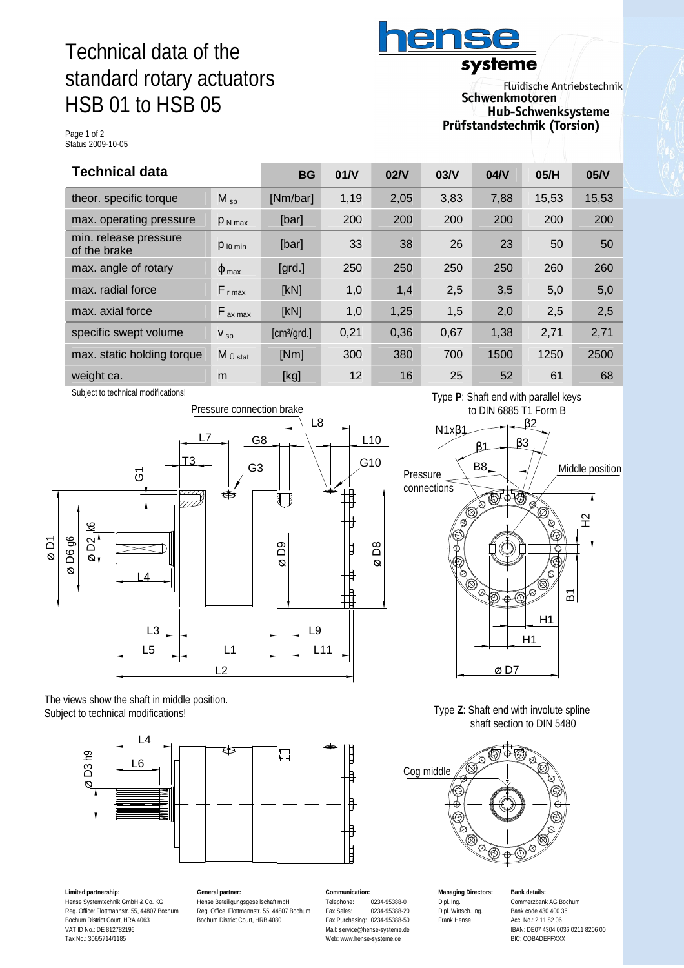## Technical data of the standard rotary actuators HSB 01 to HSB 05



Fluidische Antriebstechnik Schwenkmotoren **Hub-Schwenksysteme** Prüfstandstechnik (Torsion)

Page 1 of 2 Status 2009-10-05

| <b>Technical data</b>                 |                          | <b>BG</b>                  | 01/N | 02/V | 03/V | 04/N | 05/H  | 05/V  |
|---------------------------------------|--------------------------|----------------------------|------|------|------|------|-------|-------|
| theor. specific torque                | $M_{SD}$                 | [Nm/bar]                   | 1,19 | 2,05 | 3,83 | 7,88 | 15,53 | 15,53 |
| max. operating pressure               | $P_{N \text{ max}}$      | [bar]                      | 200  | 200  | 200  | 200  | 200   | 200   |
| min. release pressure<br>of the brake | $P$ lü min               | [bar]                      | 33   | 38   | 26   | 23   | 50    | 50    |
| max. angle of rotary                  | $\varphi$ <sub>max</sub> | $\left[\text{grd.}\right]$ | 250  | 250  | 250  | 250  | 260   | 260   |
| max. radial force                     | $F_{r \text{ max}}$      | [kN]                       | 1,0  | 1,4  | 2,5  | 3,5  | 5,0   | 5,0   |
| max. axial force                      | $F_{ax \, max}$          | [kN]                       | 1,0  | 1,25 | 1,5  | 2,0  | 2,5   | 2,5   |
| specific swept volume                 | $V_{sp}$                 | [cm <sup>3</sup> /grd.]    | 0,21 | 0,36 | 0,67 | 1,38 | 2,71  | 2,71  |
| max. static holding torque            | $M_{U \text{stat}}$      | [Nm]                       | 300  | 380  | 700  | 1500 | 1250  | 2500  |
| weight ca.                            | m                        | [kg]                       | 12   | 16   | 25   | 52   | 61    | 68    |

Subject to technical modifications!



The views show the shaft in middle position. Subject to technical modifications!



**Limited partnership:** Hense Systemtechnik GmbH & Co. KG Reg. Office: Flottmannstr. 55, 44807 Bochum Bochum District Court, HRA 4063 VAT ID No.: DE 812782196 Tax No.: 306/5714/1185

**General partner:** Hense Beteiligungsgesellschaft mbH Reg. Office: Flottmannstr. 55, 44807 Bochum Bochum District Court, HRB 4080

# **Communication:**

Telephone: 0234-95388-0<br>Fax Sales: 0234-95388-2 Fax Sales: 0234-95388-20 Fax Purchasing: 0234-95388-50 Mail: [service@hense-systeme.de](mailto:service@hense-systeme.de) Web: [www.hense-systeme.de](http://www.hense-systeme.de)

 Type **P**: Shaft end with parallel keys β2 N1xβ1 β3β1 B8 Pressure  $BB$   $\leftarrow$  Middle position connections  $\mathsf T$ Ø ODOC B1 H1 H1 ∅ D7

> Type **Z**: Shaft end with involute spline shaft section to DIN 5480



**Managing Directors:** Dipl. Ing. Dipl. Wirtsch. Ing. Frank Hense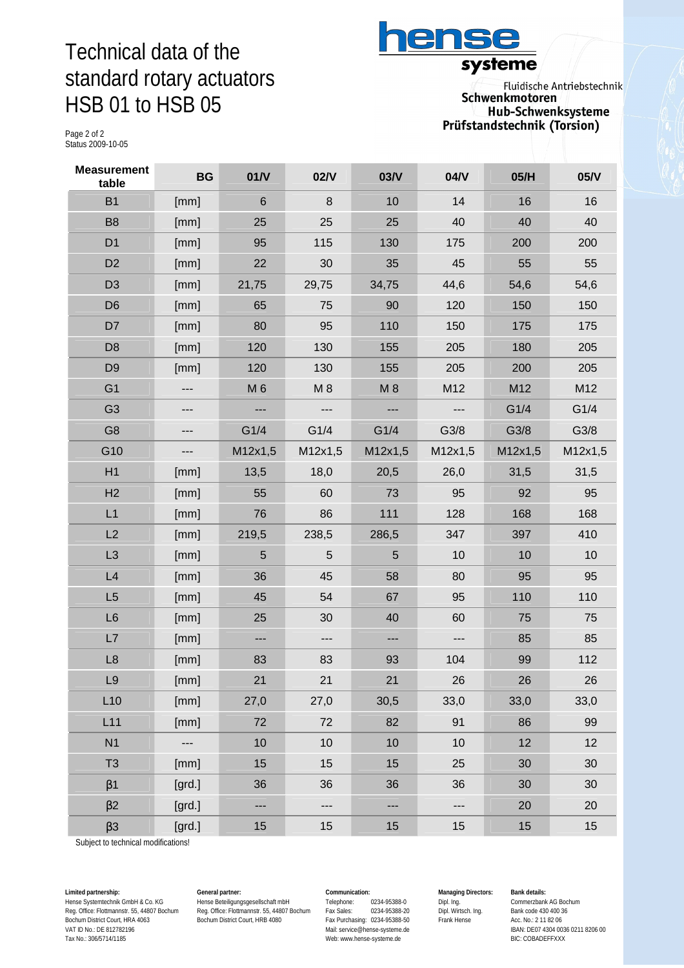## Technical data of the standard rotary actuators HSB 01 to HSB 05



Fluidische Antriebstechnik Schwenkmotoren **Hub-Schwenksysteme** Prüfstandstechnik (Torsion)

Page 2 of 2 Status 2009-10-05

| <b>Measurement</b><br>table | <b>BG</b> | 01/V           | 02/V                     | 03/V    | 04/V                     | 05/H    | 05/V    |
|-----------------------------|-----------|----------------|--------------------------|---------|--------------------------|---------|---------|
| <b>B1</b>                   | [mm]      | $6\phantom{1}$ | 8                        | 10      | 14                       | 16      | 16      |
| B <sub>8</sub>              | [mm]      | 25             | 25                       | 25      | 40                       | 40      | 40      |
| D <sub>1</sub>              | [mm]      | 95             | 115                      | 130     | 175                      | 200     | 200     |
| D <sub>2</sub>              | [mm]      | 22             | 30                       | 35      | 45                       | 55      | 55      |
| D <sub>3</sub>              | [mm]      | 21,75          | 29,75                    | 34,75   | 44,6                     | 54,6    | 54,6    |
| D <sub>6</sub>              | [mm]      | 65             | 75                       | 90      | 120                      | 150     | 150     |
| D7                          | [mm]      | 80             | 95                       | 110     | 150                      | 175     | 175     |
| D <sub>8</sub>              | [mm]      | 120            | 130                      | 155     | 205                      | 180     | 205     |
| D <sub>9</sub>              | [mm]      | 120            | 130                      | 155     | 205                      | 200     | 205     |
| G <sub>1</sub>              | ---       | M 6            | M8                       | M8      | M12                      | M12     | M12     |
| G <sub>3</sub>              | ---       | ---            | $---$                    | ---     | $---$                    | G1/4    | G1/4    |
| G8                          | ---       | G1/4           | G1/4                     | G1/4    | G3/8                     | G3/8    | G3/8    |
| G10                         | ---       | M12x1,5        | M12x1,5                  | M12x1,5 | M12x1,5                  | M12x1,5 | M12x1,5 |
| H1                          | [mm]      | 13,5           | 18,0                     | 20,5    | 26,0                     | 31,5    | 31,5    |
| H2                          | [mm]      | 55             | 60                       | 73      | 95                       | 92      | 95      |
| L1                          | [mm]      | 76             | 86                       | 111     | 128                      | 168     | 168     |
| L2                          | [mm]      | 219,5          | 238,5                    | 286,5   | 347                      | 397     | 410     |
| L <sub>3</sub>              | [mm]      | 5              | 5                        | 5       | 10                       | 10      | 10      |
| L4                          | [mm]      | 36             | 45                       | 58      | 80                       | 95      | 95      |
| L5                          | [mm]      | 45             | 54                       | 67      | 95                       | 110     | 110     |
| L6                          | [mm]      | 25             | 30                       | 40      | 60                       | 75      | 75      |
| L7                          | [mm]      | ---            | $---$                    | ---     | ---                      | 85      | 85      |
| L <sub>8</sub>              | [mm]      | 83             | 83                       | 93      | 104                      | 99      | 112     |
| L9                          | [mm]      | 21             | 21                       | 21      | 26                       | 26      | 26      |
| L10                         | [mm]      | 27,0           | 27,0                     | 30,5    | 33,0                     | 33,0    | 33,0    |
| L11                         | [mm]      | 72             | 72                       | 82      | 91                       | 86      | 99      |
| N <sub>1</sub>              | ---       | 10             | 10                       | 10      | 10                       | 12      | 12      |
| T <sub>3</sub>              | [mm]      | 15             | 15                       | 15      | 25                       | 30      | 30      |
| $\beta$ 1                   | [grd.]    | 36             | 36                       | 36      | 36                       | 30      | 30      |
| $\beta$ 2                   | [grd.]    |                | $\overline{\phantom{a}}$ |         | $\overline{\phantom{a}}$ | 20      | 20      |
| $\beta$ 3                   | [grd.]    | 15             | 15                       | 15      | 15                       | 15      | 15      |

Subject to technical modifications!

**Limited partnership:** Hense Systemtechnik GmbH & Co. KG Reg. Office: Flottmannstr. 55, 44807 Bochum Bochum District Court, HRA 4063 VAT ID No.: DE 812782196 Tax No.: 306/5714/1185

**General partner:** Hense Beteiligungsgesellschaft mbH Reg. Office: Flottmannstr. 55, 44807 Bochum Bochum District Court, HRB 4080

**Communication:** Telephone: 0234-95388-0<br>Fax Sales: 0234-95388-20 Fax Sales: 0234-95388-20 Fax Purchasing: 0234-95388-50 Mail: [service@hense-systeme.de](mailto:service@hense-systeme.de) Web: [www.hense-systeme.de](http://www.hense-systeme.de)

**Managing Directors:** Dipl. Ing. Dipl. Wirtsch. Ing. Frank Hense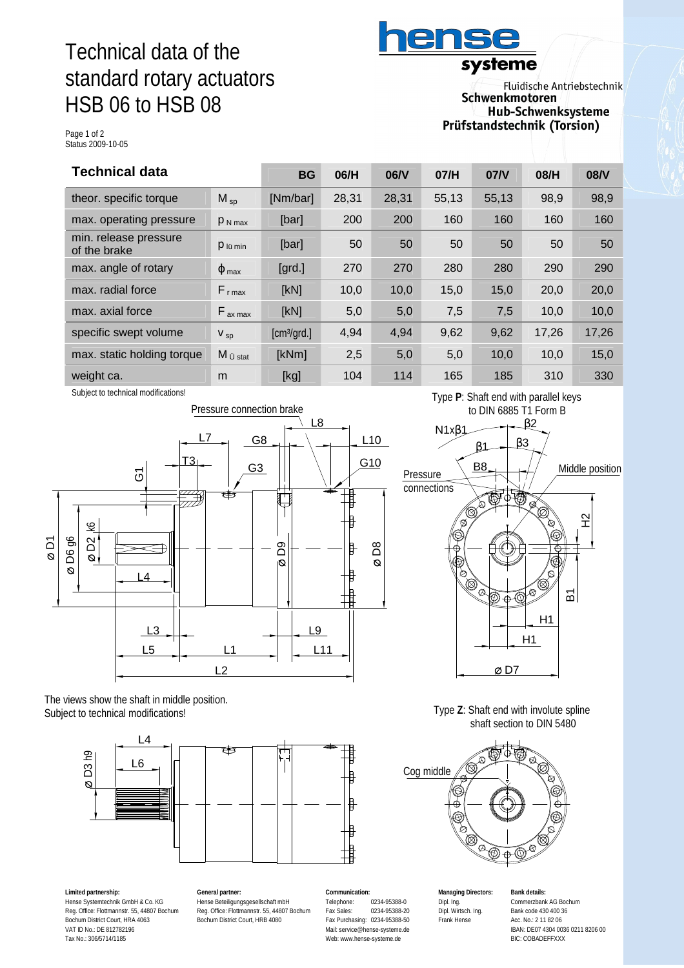## Technical data of the standard rotary actuators HSB 06 to HSB 08



Fluidische Antriebstechnik Schwenkmotoren **Hub-Schwenksysteme** Prüfstandstechnik (Torsion)

Page 1 of 2 Status 2009-10-05

| Technical data                        |                          | <b>BG</b>                  | 06/H  | 06/V  | 07/H  | 07/V  | 08/H  | 08/V  |
|---------------------------------------|--------------------------|----------------------------|-------|-------|-------|-------|-------|-------|
| theor. specific torque                | $M_{SD}$                 | [Nm/bar]                   | 28,31 | 28,31 | 55,13 | 55,13 | 98,9  | 98,9  |
| max. operating pressure               | $P_{N \text{ max}}$      | [bar]                      | 200   | 200   | 160   | 160   | 160   | 160   |
| min. release pressure<br>of the brake | $P$ lü min               | [bar]                      | 50    | 50    | 50    | 50    | 50    | 50    |
| max. angle of rotary                  | $\varphi$ <sub>max</sub> | $\left[\text{grd.}\right]$ | 270   | 270   | 280   | 280   | 290   | 290   |
| max. radial force                     | $F_{r \text{ max}}$      | [kN]                       | 10,0  | 10,0  | 15,0  | 15,0  | 20,0  | 20,0  |
| max. axial force                      | $F_{ax \, max}$          | [kN]                       | 5,0   | 5,0   | 7,5   | 7,5   | 10,0  | 10,0  |
| specific swept volume                 | $V_{sp}$                 | [cm <sup>3</sup> /grd.]    | 4,94  | 4,94  | 9,62  | 9,62  | 17,26 | 17,26 |
| max. static holding torque            | $M_{U \text{stat}}$      | [kNm]                      | 2,5   | 5,0   | 5,0   | 10,0  | 10,0  | 15,0  |
| weight ca.                            | m                        | [kg]                       | 104   | 114   | 165   | 185   | 310   | 330   |

Subject to technical modifications!



The views show the shaft in middle position. Subject to technical modifications!



**Limited partnership:** Hense Systemtechnik GmbH & Co. KG Reg. Office: Flottmannstr. 55, 44807 Bochum Bochum District Court, HRA 4063 VAT ID No.: DE 812782196 Tax No.: 306/5714/1185

**General partner:** Hense Beteiligungsgesellschaft mbH Reg. Office: Flottmannstr. 55, 44807 Bochum Bochum District Court, HRB 4080

# **Communication:**

Telephone: 0234-95388-0<br>Fax Sales: 0234-95388-2 Fax Sales: 0234-95388-20 Fax Purchasing: 0234-95388-50 Mail: [service@hense-systeme.de](mailto:service@hense-systeme.de) Web: [www.hense-systeme.de](http://www.hense-systeme.de)

 Type **P**: Shaft end with parallel keys β2 N1xβ1 β3β1 B8 Pressure  $BB$   $\leftarrow$  Middle position connections  $\mathsf T$ Ø ODOC B1 H1 H1

Type **Z**: Shaft end with involute spline

∅ D7





**Managing Directors:** Dipl. Ing. Dipl. Wirtsch. Ing. Frank Hense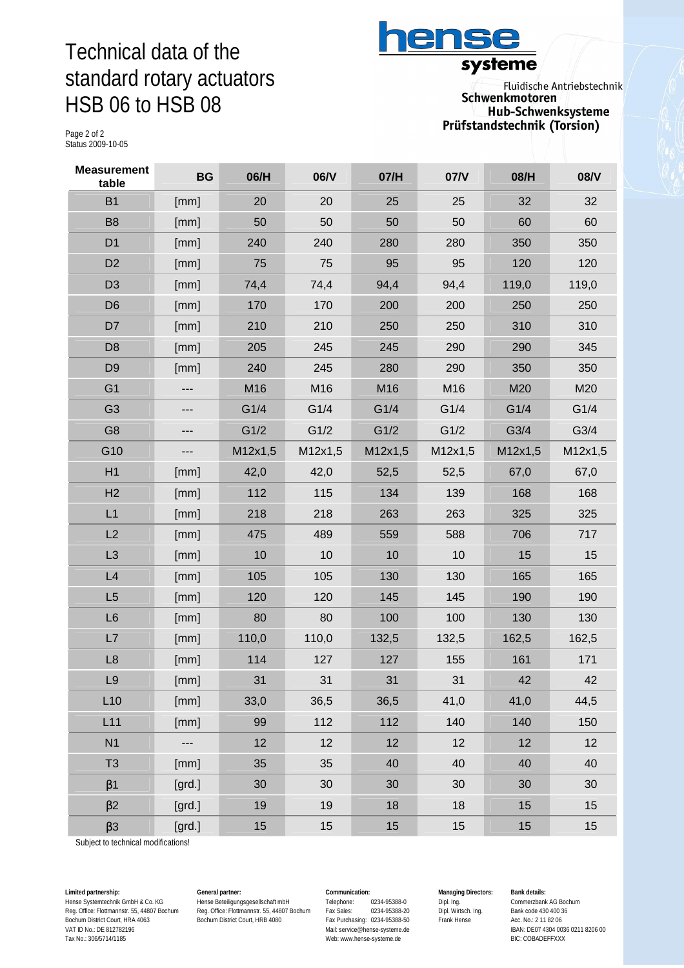## Technical data of the standard rotary actuators HSB 06 to HSB 08



Fluidische Antriebstechnik Schwenkmotoren **Hub-Schwenksysteme** Prüfstandstechnik (Torsion)

Page 2 of 2 Status 2009-10-05

| <b>Measurement</b><br>table | <b>BG</b>                | 06/H    | 06/V    | 07/H    | 07/V    | 08/H    | 08/V    |
|-----------------------------|--------------------------|---------|---------|---------|---------|---------|---------|
| <b>B1</b>                   | [mm]                     | 20      | 20      | 25      | 25      | 32      | 32      |
| B <sub>8</sub>              | [mm]                     | 50      | 50      | 50      | 50      | 60      | 60      |
| D <sub>1</sub>              | [mm]                     | 240     | 240     | 280     | 280     | 350     | 350     |
| D <sub>2</sub>              | [mm]                     | 75      | 75      | 95      | 95      | 120     | 120     |
| D <sub>3</sub>              | [mm]                     | 74,4    | 74,4    | 94,4    | 94,4    | 119,0   | 119,0   |
| D <sub>6</sub>              | [mm]                     | 170     | 170     | 200     | 200     | 250     | 250     |
| D7                          | [mm]                     | 210     | 210     | 250     | 250     | 310     | 310     |
| D <sub>8</sub>              | [mm]                     | 205     | 245     | 245     | 290     | 290     | 345     |
| D <sub>9</sub>              | [mm]                     | 240     | 245     | 280     | 290     | 350     | 350     |
| G <sub>1</sub>              | ---                      | M16     | M16     | M16     | M16     | M20     | M20     |
| G <sub>3</sub>              | ---                      | G1/4    | G1/4    | G1/4    | G1/4    | G1/4    | G1/4    |
| G <sub>8</sub>              | ---                      | G1/2    | G1/2    | G1/2    | G1/2    | G3/4    | G3/4    |
| G10                         | ---                      | M12x1,5 | M12x1,5 | M12x1,5 | M12x1,5 | M12x1,5 | M12x1,5 |
| H1                          | [mm]                     | 42,0    | 42,0    | 52,5    | 52,5    | 67,0    | 67,0    |
| H <sub>2</sub>              | [mm]                     | 112     | 115     | 134     | 139     | 168     | 168     |
| L1                          | [mm]                     | 218     | 218     | 263     | 263     | 325     | 325     |
| L2                          | [mm]                     | 475     | 489     | 559     | 588     | 706     | 717     |
| L <sub>3</sub>              | [mm]                     | 10      | 10      | 10      | 10      | 15      | 15      |
| L4                          | [mm]                     | 105     | 105     | 130     | 130     | 165     | 165     |
| L5                          | [mm]                     | 120     | 120     | 145     | 145     | 190     | 190     |
| L6                          | [mm]                     | 80      | 80      | 100     | 100     | 130     | 130     |
| L7                          | [mm]                     | 110,0   | 110,0   | 132,5   | 132,5   | 162,5   | 162,5   |
| L8                          | [mm]                     | 114     | 127     | 127     | 155     | 161     | 171     |
| L <sub>9</sub>              | [mm]                     | 31      | 31      | 31      | 31      | 42      | 42      |
| L10                         | [mm]                     | 33,0    | 36,5    | 36,5    | 41,0    | 41,0    | 44,5    |
| L11                         | [mm]                     | 99      | 112     | 112     | 140     | 140     | 150     |
| N <sub>1</sub>              | $\overline{\phantom{a}}$ | 12      | 12      | 12      | 12      | 12      | 12      |
| T <sub>3</sub>              | [mm]                     | 35      | 35      | 40      | 40      | 40      | 40      |
| $\beta$ 1                   | [grd.]                   | 30      | 30      | 30      | 30      | 30      | 30      |
| $\beta$ 2                   | [grd.]                   | 19      | 19      | 18      | 18      | 15      | 15      |
| $\beta$ 3                   | [grd.]                   | 15      | 15      | 15      | 15      | 15      | 15      |

Subject to technical modifications!

**Limited partnership:** Hense Systemtechnik GmbH & Co. KG Reg. Office: Flottmannstr. 55, 44807 Bochum Bochum District Court, HRA 4063 VAT ID No.: DE 812782196 Tax No.: 306/5714/1185

**General partner:** Hense Beteiligungsgesellschaft mbH Reg. Office: Flottmannstr. 55, 44807 Bochum Bochum District Court, HRB 4080

**Communication:** Telephone: 0234-95388-0<br>Fax Sales: 0234-95388-20 Fax Sales: 0234-95388-20 Fax Purchasing: 0234-95388-50

Mail: [service@hense-systeme.de](mailto:service@hense-systeme.de) Web: [www.hense-systeme.de](http://www.hense-systeme.de)

**Managing Directors:** Dipl. Ing. Dipl. Wirtsch. Ing. Frank Hense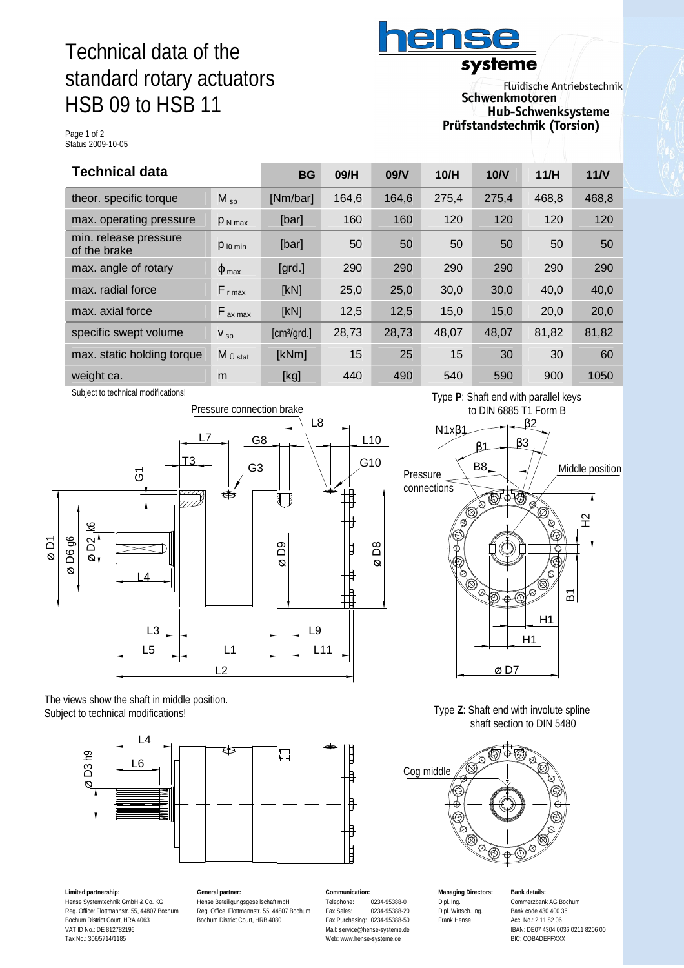## Technical data of the standard rotary actuators HSB 09 to HSB 11



Fluidische Antriebstechnik Schwenkmotoren **Hub-Schwenksysteme** Prüfstandstechnik (Torsion)

Page 1 of 2 Status 2009-10-05

| Technical data                        |                          | <b>BG</b>                  | 09/H  | 09/V  | 10/H  | 10/N  | 11/H  | 11 <sub>N</sub> |
|---------------------------------------|--------------------------|----------------------------|-------|-------|-------|-------|-------|-----------------|
| theor. specific torque                | $M_{SD}$                 | [Nm/bar]                   | 164.6 | 164,6 | 275,4 | 275,4 | 468,8 | 468,8           |
| max. operating pressure               | $P_{N \text{ max}}$      | [bar]                      | 160   | 160   | 120   | 120   | 120   | 120             |
| min. release pressure<br>of the brake | $P$ lü min               | [bar]                      | 50    | 50    | 50    | 50    | 50    | 50              |
| max. angle of rotary                  | $\varphi$ <sub>max</sub> | $\left[\text{grd.}\right]$ | 290   | 290   | 290   | 290   | 290   | 290             |
| max. radial force                     | $F_{r \text{ max}}$      | [kN]                       | 25,0  | 25,0  | 30,0  | 30,0  | 40,0  | 40,0            |
| max. axial force                      | $F_{ax \, max}$          | [kN]                       | 12,5  | 12,5  | 15,0  | 15,0  | 20,0  | 20,0            |
| specific swept volume                 | $V_{sp}$                 | [cm <sup>3</sup> /grd.]    | 28,73 | 28,73 | 48,07 | 48,07 | 81,82 | 81,82           |
| max. static holding torque            | $M_{U \text{stat}}$      | [kNm]                      | 15    | 25    | 15    | 30    | 30    | 60              |
| weight ca.                            | m                        | [kg]                       | 440   | 490   | 540   | 590   | 900   | 1050            |

Subject to technical modifications!



The views show the shaft in middle position. Subject to technical modifications!



**Limited partnership:** Hense Systemtechnik GmbH & Co. KG Reg. Office: Flottmannstr. 55, 44807 Bochum Bochum District Court, HRA 4063 VAT ID No.: DE 812782196 Tax No.: 306/5714/1185

**General partner:** Hense Beteiligungsgesellschaft mbH Reg. Office: Flottmannstr. 55, 44807 Bochum Bochum District Court, HRB 4080

# **Communication:**

Telephone: 0234-95388-0<br>Fax Sales: 0234-95388-2 Fax Sales: 0234-95388-20 Fax Purchasing: 0234-95388-50 Mail: [service@hense-systeme.de](mailto:service@hense-systeme.de) Web: [www.hense-systeme.de](http://www.hense-systeme.de)

**Managing Directors:** Dipl. Ing. Dipl. Wirtsch. Ing. Frank Hense

Cog middle

**Bank details:** Commerzbank AG Bochum Bank code 430 400 36 Acc. No.: 2 11 82 06 IBAN: DE07 4304 0036 0211 8206 00 BIC: COBADEFFXXX



Type **Z**: Shaft end with involute spline shaft section to DIN 5480

Ó